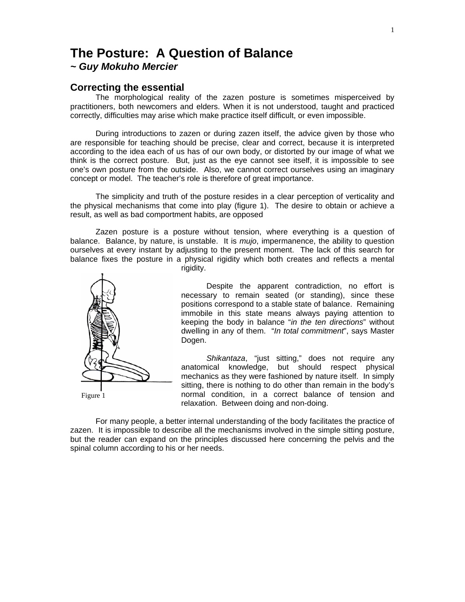# **The Posture: A Question of Balance**

### *~ Guy Mokuho Mercier*

### **Correcting the essential**

The morphological reality of the zazen posture is sometimes misperceived by practitioners, both newcomers and elders. When it is not understood, taught and practiced correctly, difficulties may arise which make practice itself difficult, or even impossible.

During introductions to zazen or during zazen itself, the advice given by those who are responsible for teaching should be precise, clear and correct, because it is interpreted according to the idea each of us has of our own body, or distorted by our image of what we think is the correct posture. But, just as the eye cannot see itself, it is impossible to see one's own posture from the outside. Also, we cannot correct ourselves using an imaginary concept or model. The teacher's role is therefore of great importance.

The simplicity and truth of the posture resides in a clear perception of verticality and the physical mechanisms that come into play (figure 1). The desire to obtain or achieve a result, as well as bad comportment habits, are opposed

Zazen posture is a posture without tension, where everything is a question of balance. Balance, by nature, is unstable. It is *mujo*, impermanence, the ability to question ourselves at every instant by adjusting to the present moment. The lack of this search for balance fixes the posture in a physical rigidity which both creates and reflects a mental



rigidity.

Despite the apparent contradiction, no effort is necessary to remain seated (or standing), since these positions correspond to a stable state of balance. Remaining immobile in this state means always paying attention to keeping the body in balance "*in the ten directions*" without dwelling in any of them. "*In total commitment*", says Master Dogen.

*Shikantaza*, "just sitting," does not require any anatomical knowledge, but should respect physical mechanics as they were fashioned by nature itself. In simply sitting, there is nothing to do other than remain in the body's normal condition, in a correct balance of tension and relaxation. Between doing and non-doing.

For many people, a better internal understanding of the body facilitates the practice of zazen. It is impossible to describe all the mechanisms involved in the simple sitting posture, but the reader can expand on the principles discussed here concerning the pelvis and the spinal column according to his or her needs.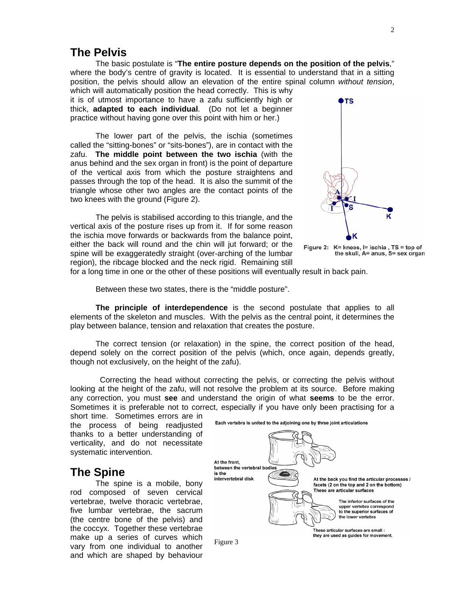## **The Pelvis**

The basic postulate is "**The entire posture depends on the position of the pelvis**," where the body's centre of gravity is located. It is essential to understand that in a sitting position, the pelvis should allow an elevation of the entire spinal column *without tension*,

which will automatically position the head correctly. This is why it is of utmost importance to have a zafu sufficiently high or thick, **adapted to each individual**. (Do not let a beginner practice without having gone over this point with him or her.)

 The lower part of the pelvis, the ischia (sometimes called the "sitting-bones" or "sits-bones"), are in contact with the zafu. **The middle point between the two ischia** (with the anus behind and the sex organ in front) is the point of departure of the vertical axis from which the posture straightens and passes through the top of the head. It is also the summit of the triangle whose other two angles are the contact points of the two knees with the ground (Figure 2).

The pelvis is stabilised according to this triangle, and the vertical axis of the posture rises up from it. If for some reason the ischia move forwards or backwards from the balance point, either the back will round and the chin will jut forward; or the spine will be exaggeratedly straight (over-arching of the lumbar region), the ribcage blocked and the neck rigid. Remaining still



Figure 2: K= knees, I= ischia, TS = top of the skull, A= anus, S= sex organ

for a long time in one or the other of these positions will eventually result in back pain.

Between these two states, there is the "middle posture".

**The principle of interdependence** is the second postulate that applies to all elements of the skeleton and muscles. With the pelvis as the central point, it determines the play between balance, tension and relaxation that creates the posture.

The correct tension (or relaxation) in the spine, the correct position of the head, depend solely on the correct position of the pelvis (which, once again, depends greatly, though not exclusively, on the height of the zafu).

 Correcting the head without correcting the pelvis, or correcting the pelvis without looking at the height of the zafu, will not resolve the problem at its source. Before making any correction, you must **see** and understand the origin of what **seems** to be the error. Sometimes it is preferable not to correct, especially if you have only been practising for a

short time. Sometimes errors are in the process of being readjusted thanks to a better understanding of verticality, and do not necessitate systematic intervention.

# **The Spine**

The spine is a mobile, bony rod composed of seven cervical vertebrae, twelve thoracic vertebrae, five lumbar vertebrae, the sacrum (the centre bone of the pelvis) and the coccyx. Together these vertebrae make up a series of curves which vary from one individual to another and which are shaped by behaviour

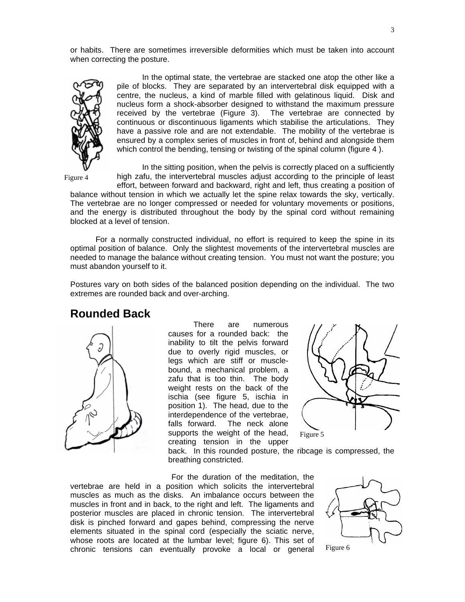or habits. There are sometimes irreversible deformities which must be taken into account when correcting the posture.



Figure 4

 In the optimal state, the vertebrae are stacked one atop the other like a pile of blocks. They are separated by an intervertebral disk equipped with a centre, the nucleus, a kind of marble filled with gelatinous liquid. Disk and nucleus form a shock-absorber designed to withstand the maximum pressure received by the vertebrae (Figure 3). The vertebrae are connected by continuous or discontinuous ligaments which stabilise the articulations. They have a passive role and are not extendable. The mobility of the vertebrae is ensured by a complex series of muscles in front of, behind and alongside them which control the bending, tensing or twisting of the spinal column (figure 4).

In the sitting position, when the pelvis is correctly placed on a sufficiently high zafu, the intervertebral muscles adjust according to the principle of least effort, between forward and backward, right and left, thus creating a position of

balance without tension in which we actually let the spine relax towards the sky, vertically. The vertebrae are no longer compressed or needed for voluntary movements or positions, and the energy is distributed throughout the body by the spinal cord without remaining blocked at a level of tension.

For a normally constructed individual, no effort is required to keep the spine in its optimal position of balance. Only the slightest movements of the intervertebral muscles are needed to manage the balance without creating tension. You must not want the posture; you must abandon yourself to it.

Postures vary on both sides of the balanced position depending on the individual. The two extremes are rounded back and over-arching.

## **Rounded Back**



 There are numerous causes for a rounded back: the inability to tilt the pelvis forward due to overly rigid muscles, or legs which are stiff or musclebound, a mechanical problem, a zafu that is too thin. The body weight rests on the back of the ischia (see figure 5, ischia in position 1). The head, due to the interdependence of the vertebrae, falls forward. The neck alone supports the weight of the head, creating tension in the upper



back. In this rounded posture, the ribcage is compressed, the breathing constricted.

For the duration of the meditation, the vertebrae are held in a position which solicits the intervertebral muscles as much as the disks. An imbalance occurs between the muscles in front and in back, to the right and left. The ligaments and posterior muscles are placed in chronic tension. The intervertebral disk is pinched forward and gapes behind, compressing the nerve elements situated in the spinal cord (especially the sciatic nerve, whose roots are located at the lumbar level; figure 6). This set of chronic tensions can eventually provoke a local or general



Figure 6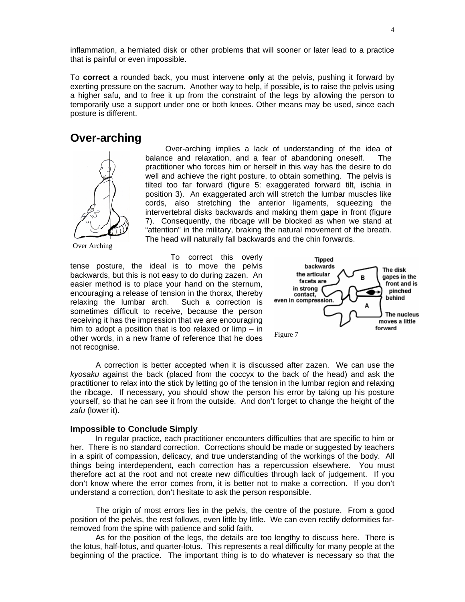inflammation, a herniated disk or other problems that will sooner or later lead to a practice that is painful or even impossible.

To **correct** a rounded back, you must intervene **only** at the pelvis, pushing it forward by exerting pressure on the sacrum. Another way to help, if possible, is to raise the pelvis using a higher safu, and to free it up from the constraint of the legs by allowing the person to temporarily use a support under one or both knees. Other means may be used, since each posture is different.

## **Over-arching**



Over Arching

Over-arching implies a lack of understanding of the idea of balance and relaxation, and a fear of abandoning oneself. The practitioner who forces him or herself in this way has the desire to do well and achieve the right posture, to obtain something. The pelvis is tilted too far forward (figure 5: exaggerated forward tilt, ischia in position 3). An exaggerated arch will stretch the lumbar muscles like cords, also stretching the anterior ligaments, squeezing the intervertebral disks backwards and making them gape in front (figure 7). Consequently, the ribcage will be blocked as when we stand at "attention" in the military, braking the natural movement of the breath. The head will naturally fall backwards and the chin forwards.

 To correct this overly tense posture, the ideal is to move the pelvis backwards, but this is not easy to do during zazen. An easier method is to place your hand on the sternum, encouraging a release of tension in the thorax, thereby relaxing the lumbar arch. Such a correction is sometimes difficult to receive, because the person receiving it has the impression that we are encouraging him to adopt a position that is too relaxed or limp – in other words, in a new frame of reference that he does not recognise.



 A correction is better accepted when it is discussed after zazen. We can use the *kyosaku* against the back (placed from the coccyx to the back of the head) and ask the practitioner to relax into the stick by letting go of the tension in the lumbar region and relaxing the ribcage. If necessary, you should show the person his error by taking up his posture yourself, so that he can see it from the outside. And don't forget to change the height of the zafu (lower it).

#### **Impossible to Conclude Simply**

In regular practice, each practitioner encounters difficulties that are specific to him or her. There is no standard correction. Corrections should be made or suggested by teachers in a spirit of compassion, delicacy, and true understanding of the workings of the body. All things being interdependent, each correction has a repercussion elsewhere. You must therefore act at the root and not create new difficulties through lack of judgement. If you don't know where the error comes from, it is better not to make a correction. If you don't understand a correction, don't hesitate to ask the person responsible.

The origin of most errors lies in the pelvis, the centre of the posture. From a good position of the pelvis, the rest follows, even little by little. We can even rectify deformities farremoved from the spine with patience and solid faith.

As for the position of the legs, the details are too lengthy to discuss here. There is the lotus, half-lotus, and quarter-lotus. This represents a real difficulty for many people at the beginning of the practice. The important thing is to do whatever is necessary so that the